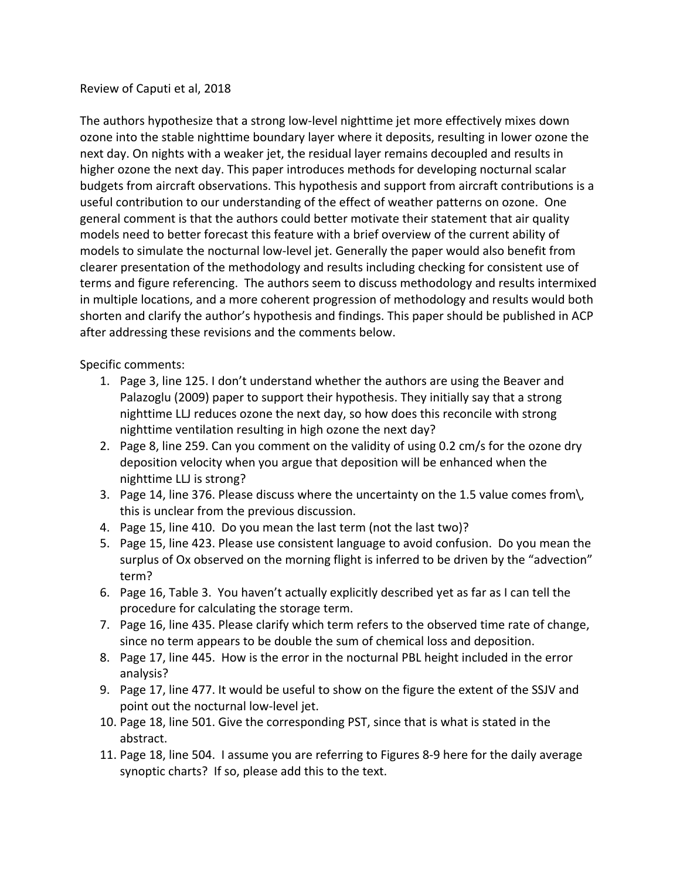## Review of Caputi et al, 2018

The authors hypothesize that a strong low-level nighttime jet more effectively mixes down ozone into the stable nighttime boundary layer where it deposits, resulting in lower ozone the next day. On nights with a weaker jet, the residual layer remains decoupled and results in higher ozone the next day. This paper introduces methods for developing nocturnal scalar budgets from aircraft observations. This hypothesis and support from aircraft contributions is a useful contribution to our understanding of the effect of weather patterns on ozone. One general comment is that the authors could better motivate their statement that air quality models need to better forecast this feature with a brief overview of the current ability of models to simulate the nocturnal low-level jet. Generally the paper would also benefit from clearer presentation of the methodology and results including checking for consistent use of terms and figure referencing. The authors seem to discuss methodology and results intermixed in multiple locations, and a more coherent progression of methodology and results would both shorten and clarify the author's hypothesis and findings. This paper should be published in ACP after addressing these revisions and the comments below.

## Specific comments:

- 1. Page 3, line 125. I don't understand whether the authors are using the Beaver and Palazoglu (2009) paper to support their hypothesis. They initially say that a strong nighttime LLJ reduces ozone the next day, so how does this reconcile with strong nighttime ventilation resulting in high ozone the next day?
- 2. Page 8, line 259. Can you comment on the validity of using 0.2 cm/s for the ozone dry deposition velocity when you argue that deposition will be enhanced when the nighttime LLJ is strong?
- 3. Page 14, line 376. Please discuss where the uncertainty on the 1.5 value comes from\, this is unclear from the previous discussion.
- 4. Page 15, line 410. Do you mean the last term (not the last two)?
- 5. Page 15, line 423. Please use consistent language to avoid confusion. Do you mean the surplus of Ox observed on the morning flight is inferred to be driven by the "advection" term?
- 6. Page 16, Table 3. You haven't actually explicitly described yet as far as I can tell the procedure for calculating the storage term.
- 7. Page 16, line 435. Please clarify which term refers to the observed time rate of change, since no term appears to be double the sum of chemical loss and deposition.
- 8. Page 17, line 445. How is the error in the nocturnal PBL height included in the error analysis?
- 9. Page 17, line 477. It would be useful to show on the figure the extent of the SSJV and point out the nocturnal low-level jet.
- 10. Page 18, line 501. Give the corresponding PST, since that is what is stated in the abstract.
- 11. Page 18, line 504. I assume you are referring to Figures 8-9 here for the daily average synoptic charts? If so, please add this to the text.